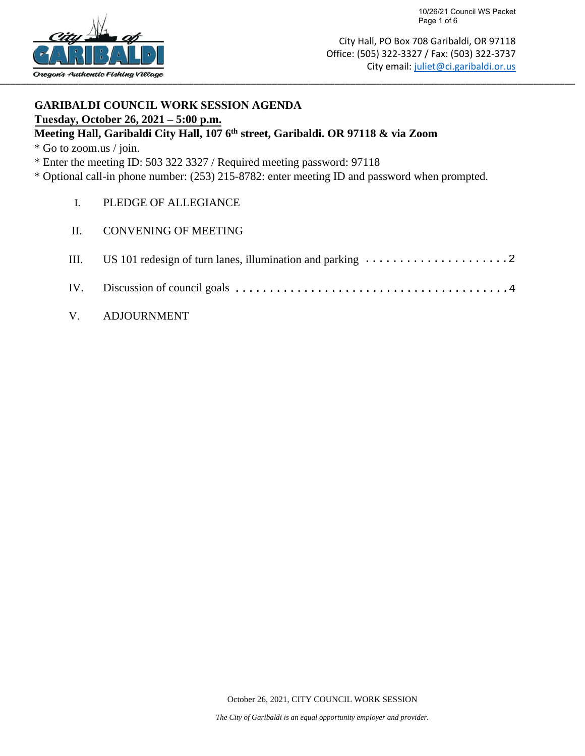

## **GARIBALDI COUNCIL WORK SESSION AGENDA Tuesday, October 26, 2021 – 5:00 p.m.**

## **Meeting Hall, Garibaldi City Hall, 107 6th street, Garibaldi. OR 97118 & via Zoom**

\* Go to zoom.us / join.

\* Enter the meeting ID: 503 322 3327 / Required meeting password: 97118

\* Optional call-in phone number: (253) 215-8782: enter meeting ID and password when prompted.

- I. PLEDGE OF ALLEGIANCE
- II. CONVENING OF MEETING

| III. US 101 redesign of turn lanes, illumination and parking $\dots \dots \dots \dots \dots \dots \dots$                          |
|-----------------------------------------------------------------------------------------------------------------------------------|
| IV. Discussion of council goals $\dots \dots \dots \dots \dots \dots \dots \dots \dots \dots \dots \dots \dots \dots \dots \dots$ |

V. ADJOURNMENT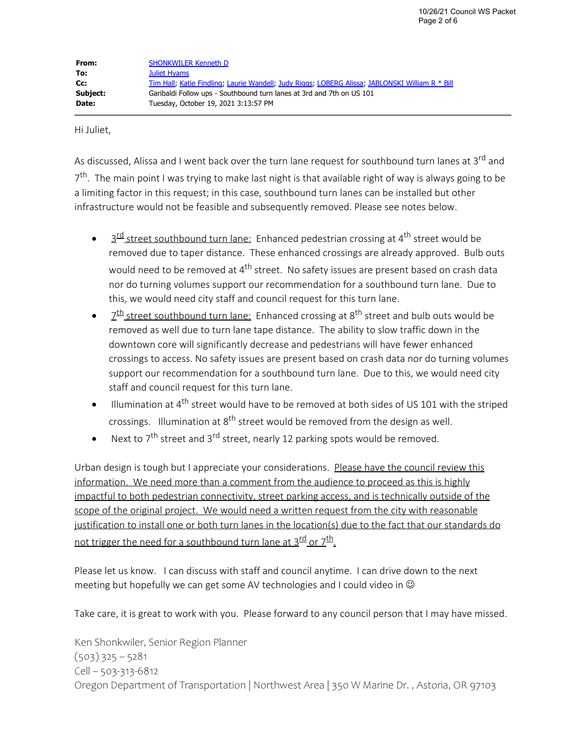Hi Juliet,

As discussed, Alissa and I went back over the turn lane request for southbound turn lanes at 3<sup>rd</sup> and  $7<sup>th</sup>$ . The main point I was trying to make last night is that available right of way is always going to be a limiting factor in this request; in this case, southbound turn lanes can be installed but other infrastructure would not be feasible and subsequently removed. Please see notes below.

- $3<sup>rd</sup>$  street southbound turn lane: Enhanced pedestrian crossing at 4<sup>th</sup> street would be removed due to taper distance. These enhanced crossings are already approved. Bulb outs would need to be removed at 4<sup>th</sup> street. No safety issues are present based on crash data nor do turning volumes support our recommendation for a southbound turn lane. Due to this, we would need city staff and council request for this turn lane.
- $2<sup>th</sup>$  street southbound turn lane: Enhanced crossing at 8<sup>th</sup> street and bulb outs would be removed as well due to turn lane tape distance. The ability to slow traffic down in the downtown core will significantly decrease and pedestrians will have fewer enhanced crossings to access. No safety issues are present based on crash data nor do turning volumes support our recommendation for a southbound turn lane. Due to this, we would need city staff and council request for this turn lane.
- $\bullet$  Illumination at 4<sup>th</sup> street would have to be removed at both sides of US 101 with the striped crossings. Illumination at 8<sup>th</sup> street would be removed from the design as well.
- Next to 7<sup>th</sup> street and 3<sup>rd</sup> street, nearly 12 parking spots would be removed.

Urban design is tough but I appreciate your considerations. Please have the council review this information. We need more than a comment from the audience to proceed as this is highly impactful to both pedestrian connectivity, street parking access, and is technically outside of the scope of the original project. We would need a written request from the city with reasonable justification to install one or both turn lanes in the location(s) due to the fact that our standards do not trigger the need for a southbound turn lane at  $3^{\text{rd}}$  or  $7^{\text{th}}$ .

Please let us know. I can discuss with staff and council anytime. I can drive down to the next meeting but hopefully we can get some AV technologies and I could video in  $\odot$ 

Take care, it is great to work with you. Please forward to any council person that I may have missed.

Ken Shonkwiler, Senior Region Planner  $(503)$  325 – 5281 Cell – 503-313-6812 Oregon Department of Transportation | Northwest Area | 350 W Marine Dr. , Astoria, OR 97103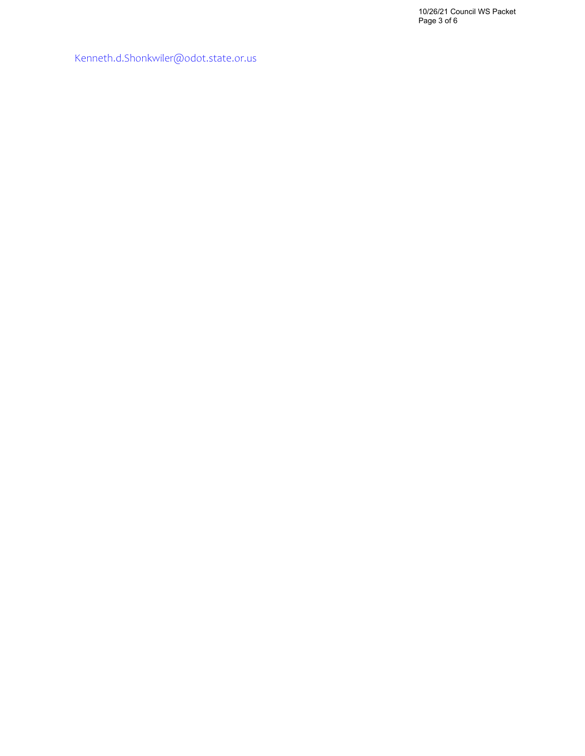10/26/21 Council WS Packet Page 3 of 6

[Kenneth.d.Shonkwiler@odot.state.or.us](mailto:Kenneth.d.Shonkwiler@odot.state.or.us)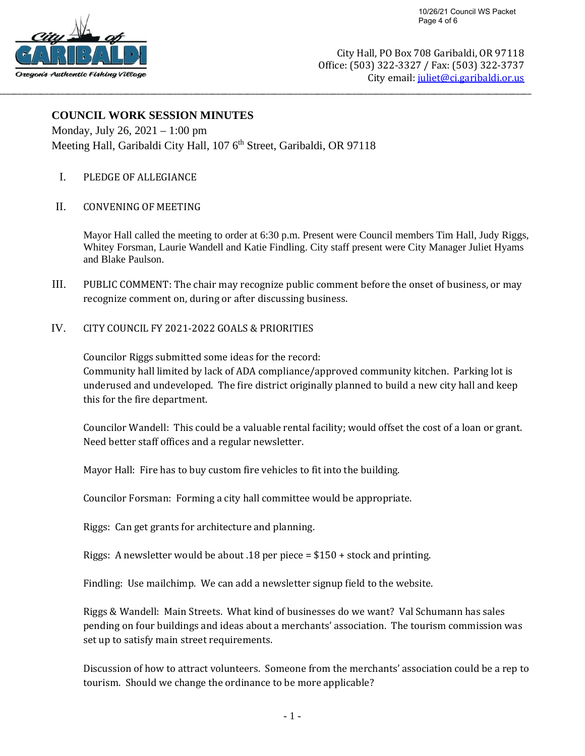City Hall, PO Box 708 Garibaldi, OR 97118 Office: (503) 322-3327 / Fax: (503) 322-3737 City email: juliet@ci.garibaldi.or.us

## **COUNCIL WORK SESSION MINUTES**

Monday, July 26, 2021 – 1:00 pm Meeting Hall, Garibaldi City Hall, 107 6<sup>th</sup> Street, Garibaldi, OR 97118

\_\_\_\_\_\_\_\_\_\_\_\_\_\_\_\_\_\_\_\_\_\_\_\_\_\_\_\_\_\_\_\_\_\_\_\_\_\_\_\_\_\_\_\_\_\_\_\_\_\_\_\_\_\_\_\_\_\_\_\_\_\_\_\_\_\_\_\_\_\_\_\_\_\_\_\_\_\_\_\_\_\_\_\_\_\_\_\_\_\_\_\_\_\_\_\_\_\_\_\_\_\_\_\_\_\_\_\_\_\_\_\_\_\_\_\_\_\_\_\_\_\_\_\_\_\_\_\_\_\_\_\_\_\_\_\_\_

- I. PLEDGE OF ALLEGIANCE
- II. CONVENING OF MEETING

Mayor Hall called the meeting to order at 6:30 p.m. Present were Council members Tim Hall, Judy Riggs, Whitey Forsman, Laurie Wandell and Katie Findling. City staff present were City Manager Juliet Hyams and Blake Paulson.

- III. PUBLIC COMMENT: The chair may recognize public comment before the onset of business, or may recognize comment on, during or after discussing business.
- IV. CITY COUNCIL FY 2021-2022 GOALS & PRIORITIES

Councilor Riggs submitted some ideas for the record: Community hall limited by lack of ADA compliance/approved community kitchen. Parking lot is underused and undeveloped. The fire district originally planned to build a new city hall and keep this for the fire department.

Councilor Wandell: This could be a valuable rental facility; would offset the cost of a loan or grant. Need better staff offices and a regular newsletter.

Mayor Hall: Fire has to buy custom fire vehicles to fit into the building.

Councilor Forsman: Forming a city hall committee would be appropriate.

Riggs: Can get grants for architecture and planning.

Riggs: A newsletter would be about .18 per piece  $= $150 +$  stock and printing.

Findling: Use mailchimp. We can add a newsletter signup field to the website.

Riggs & Wandell: Main Streets. What kind of businesses do we want? Val Schumann has sales pending on four buildings and ideas about a merchants' association. The tourism commission was set up to satisfy main street requirements.

Discussion of how to attract volunteers. Someone from the merchants' association could be a rep to tourism. Should we change the ordinance to be more applicable?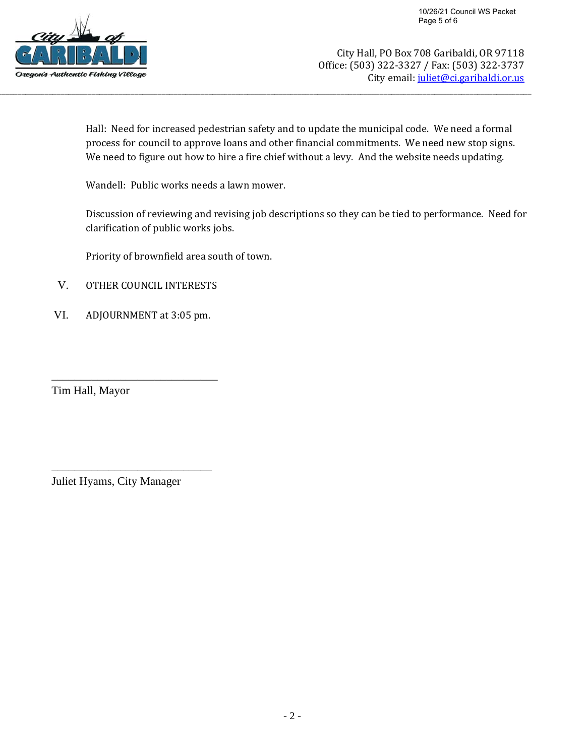

Hall: Need for increased pedestrian safety and to update the municipal code. We need a formal process for council to approve loans and other financial commitments. We need new stop signs. We need to figure out how to hire a fire chief without a levy. And the website needs updating.

\_\_\_\_\_\_\_\_\_\_\_\_\_\_\_\_\_\_\_\_\_\_\_\_\_\_\_\_\_\_\_\_\_\_\_\_\_\_\_\_\_\_\_\_\_\_\_\_\_\_\_\_\_\_\_\_\_\_\_\_\_\_\_\_\_\_\_\_\_\_\_\_\_\_\_\_\_\_\_\_\_\_\_\_\_\_\_\_\_\_\_\_\_\_\_\_\_\_\_\_\_\_\_\_\_\_\_\_\_\_\_\_\_\_\_\_\_\_\_\_\_\_\_\_\_\_\_\_\_\_\_\_\_\_\_\_\_

Wandell: Public works needs a lawn mower.

Discussion of reviewing and revising job descriptions so they can be tied to performance. Need for clarification of public works jobs.

Priority of brownfield area south of town.

- V. OTHER COUNCIL INTERESTS
- VI. ADJOURNMENT at 3:05 pm.

\_\_\_\_\_\_\_\_\_\_\_\_\_\_\_\_\_\_\_\_\_\_\_\_\_\_\_\_\_

Tim Hall, Mayor

Juliet Hyams, City Manager

\_\_\_\_\_\_\_\_\_\_\_\_\_\_\_\_\_\_\_\_\_\_\_\_\_\_\_\_